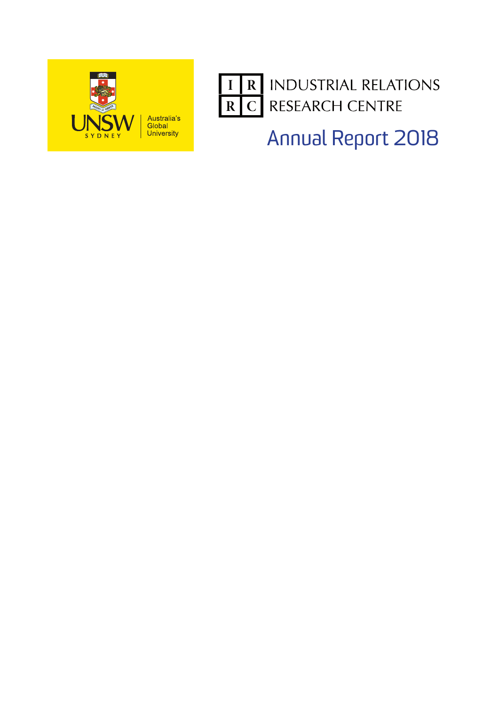



Annual Report 2018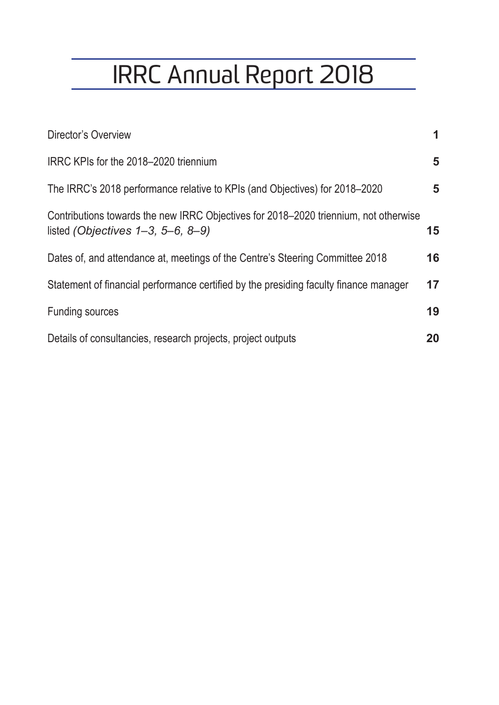# IRRC Annual Report 2018

| Director's Overview                                                                                                                | 1  |
|------------------------------------------------------------------------------------------------------------------------------------|----|
| IRRC KPIs for the 2018–2020 triennium                                                                                              | 5  |
| The IRRC's 2018 performance relative to KPIs (and Objectives) for 2018–2020                                                        | 5  |
| Contributions towards the new IRRC Objectives for 2018–2020 triennium, not otherwise<br>listed (Objectives $1-3$ , $5-6$ , $8-9$ ) | 15 |
| Dates of, and attendance at, meetings of the Centre's Steering Committee 2018                                                      | 16 |
| Statement of financial performance certified by the presiding faculty finance manager                                              | 17 |
| <b>Funding sources</b>                                                                                                             | 19 |
| Details of consultancies, research projects, project outputs                                                                       | 20 |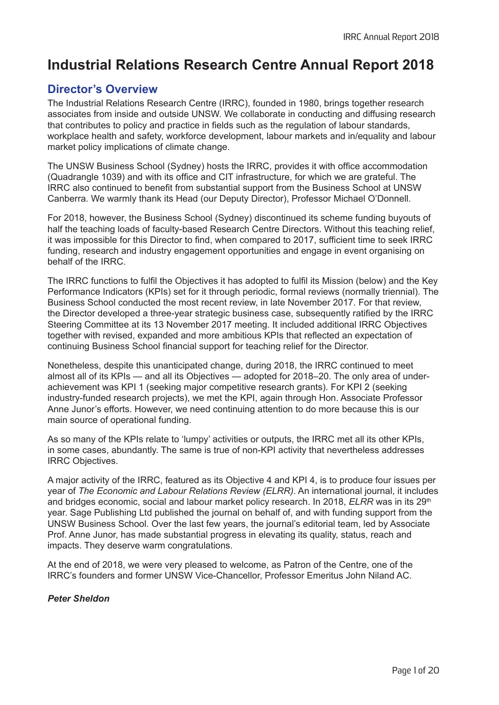# **Industrial Relations Research Centre Annual Report 2018**

## **Director's Overview**

The Industrial Relations Research Centre (IRRC), founded in 1980, brings together research associates from inside and outside UNSW. We collaborate in conducting and diffusing research that contributes to policy and practice in fields such as the regulation of labour standards, workplace health and safety, workforce development, labour markets and in/equality and labour market policy implications of climate change.

The UNSW Business School (Sydney) hosts the IRRC, provides it with office accommodation (Quadrangle 1039) and with its office and CIT infrastructure, for which we are grateful. The IRRC also continued to benefit from substantial support from the Business School at UNSW Canberra. We warmly thank its Head (our Deputy Director), Professor Michael O'Donnell.

For 2018, however, the Business School (Sydney) discontinued its scheme funding buyouts of half the teaching loads of faculty-based Research Centre Directors. Without this teaching relief, it was impossible for this Director to find, when compared to 2017, sufficient time to seek IRRC funding, research and industry engagement opportunities and engage in event organising on behalf of the IRRC.

The IRRC functions to fulfil the Objectives it has adopted to fulfil its Mission (below) and the Key Performance Indicators (KPIs) set for it through periodic, formal reviews (normally triennial). The Business School conducted the most recent review, in late November 2017. For that review, the Director developed a three-year strategic business case, subsequently ratified by the IRRC Steering Committee at its 13 November 2017 meeting. It included additional IRRC Objectives together with revised, expanded and more ambitious KPIs that reflected an expectation of continuing Business School financial support for teaching relief for the Director.

Nonetheless, despite this unanticipated change, during 2018, the IRRC continued to meet almost all of its KPIs — and all its Objectives — adopted for 2018–20. The only area of underachievement was KPI 1 (seeking major competitive research grants). For KPI 2 (seeking industry-funded research projects), we met the KPI, again through Hon. Associate Professor Anne Junor's efforts. However, we need continuing attention to do more because this is our main source of operational funding.

As so many of the KPIs relate to 'lumpy' activities or outputs, the IRRC met all its other KPIs, in some cases, abundantly. The same is true of non-KPI activity that nevertheless addresses IRRC Objectives.

A major activity of the IRRC, featured as its Objective 4 and KPI 4, is to produce four issues per year of *The Economic and Labour Relations Review (ELRR)*. An international journal, it includes and bridges economic, social and labour market policy research. In 2018, *ELRR* was in its 29<sup>th</sup> year. Sage Publishing Ltd published the journal on behalf of, and with funding support from the UNSW Business School. Over the last few years, the journal's editorial team, led by Associate Prof. Anne Junor, has made substantial progress in elevating its quality, status, reach and impacts. They deserve warm congratulations.

At the end of 2018, we were very pleased to welcome, as Patron of the Centre, one of the IRRC's founders and former UNSW Vice-Chancellor, Professor Emeritus John Niland AC.

## *Peter Sheldon*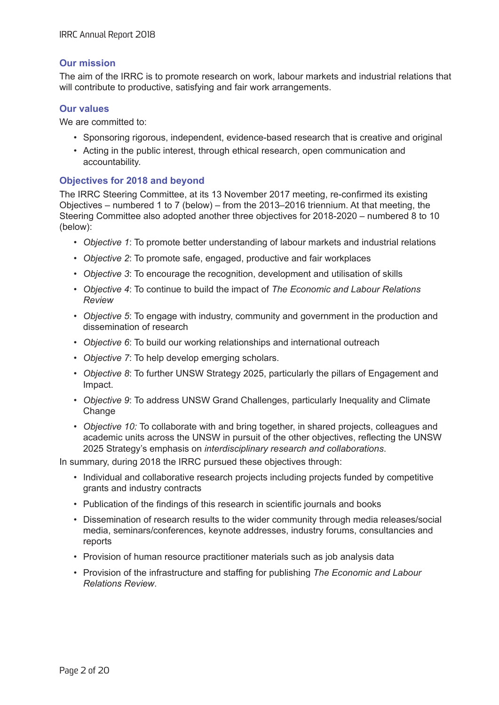## **Our mission**

The aim of the IRRC is to promote research on work, labour markets and industrial relations that will contribute to productive, satisfying and fair work arrangements.

## **Our values**

We are committed to:

- Sponsoring rigorous, independent, evidence-based research that is creative and original
- Acting in the public interest, through ethical research, open communication and accountability.

## **Objectives for 2018 and beyond**

The IRRC Steering Committee, at its 13 November 2017 meeting, re-confirmed its existing Objectives – numbered 1 to 7 (below) – from the 2013–2016 triennium. At that meeting, the Steering Committee also adopted another three objectives for 2018-2020 – numbered 8 to 10 (below):

- *Objective 1*: To promote better understanding of labour markets and industrial relations
- *Objective 2*: To promote safe, engaged, productive and fair workplaces
- *Objective 3*: To encourage the recognition, development and utilisation of skills
- *Objective 4*: To continue to build the impact of *The Economic and Labour Relations Review*
- *Objective 5*: To engage with industry, community and government in the production and dissemination of research
- *Objective 6*: To build our working relationships and international outreach
- *Objective 7*: To help develop emerging scholars.
- *Objective 8*: To further UNSW Strategy 2025, particularly the pillars of Engagement and Impact.
- *Objective 9*: To address UNSW Grand Challenges, particularly Inequality and Climate **Change**
- *Objective 10:* To collaborate with and bring together, in shared projects, colleagues and academic units across the UNSW in pursuit of the other objectives, reflecting the UNSW 2025 Strategy's emphasis on *interdisciplinary research and collaborations*.

In summary, during 2018 the IRRC pursued these objectives through:

- Individual and collaborative research projects including projects funded by competitive grants and industry contracts
- Publication of the findings of this research in scientific journals and books
- Dissemination of research results to the wider community through media releases/social media, seminars/conferences, keynote addresses, industry forums, consultancies and reports
- Provision of human resource practitioner materials such as job analysis data
- Provision of the infrastructure and staffing for publishing *The Economic and Labour Relations Review*.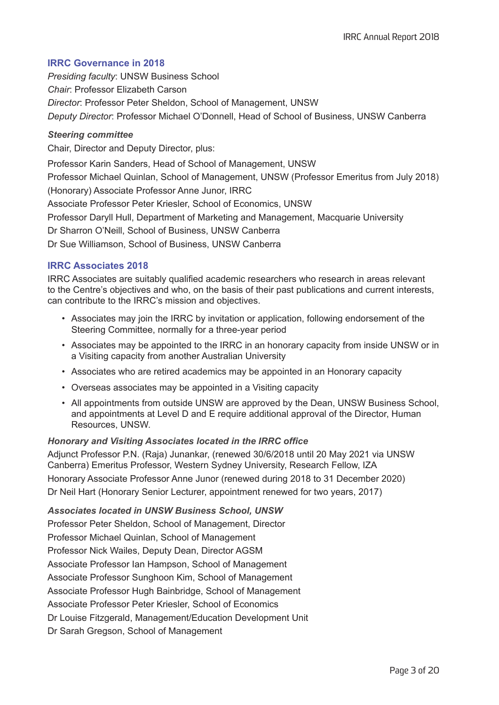## **IRRC Governance in 2018**

*Presiding faculty*: UNSW Business School *Chair*: Professor Elizabeth Carson *Director*: Professor Peter Sheldon, School of Management, UNSW *Deputy Director*: Professor Michael O'Donnell, Head of School of Business, UNSW Canberra

## *Steering committee*

Chair, Director and Deputy Director, plus:

Professor Karin Sanders, Head of School of Management, UNSW

Professor Michael Quinlan, School of Management, UNSW (Professor Emeritus from July 2018) (Honorary) Associate Professor Anne Junor, IRRC

Associate Professor Peter Kriesler, School of Economics, UNSW

Professor Daryll Hull, Department of Marketing and Management, Macquarie University

Dr Sharron O'Neill, School of Business, UNSW Canberra

Dr Sue Williamson, School of Business, UNSW Canberra

## **IRRC Associates 2018**

IRRC Associates are suitably qualified academic researchers who research in areas relevant to the Centre's objectives and who, on the basis of their past publications and current interests, can contribute to the IRRC's mission and objectives.

- Associates may join the IRRC by invitation or application, following endorsement of the Steering Committee, normally for a three-year period
- Associates may be appointed to the IRRC in an honorary capacity from inside UNSW or in a Visiting capacity from another Australian University
- Associates who are retired academics may be appointed in an Honorary capacity
- Overseas associates may be appointed in a Visiting capacity
- All appointments from outside UNSW are approved by the Dean, UNSW Business School, and appointments at Level D and E require additional approval of the Director, Human Resources, UNSW.

## *Honorary and Visiting Associates located in the IRRC office*

Adjunct Professor P.N. (Raja) Junankar, (renewed 30/6/2018 until 20 May 2021 via UNSW Canberra) Emeritus Professor, Western Sydney University, Research Fellow, IZA Honorary Associate Professor Anne Junor (renewed during 2018 to 31 December 2020) Dr Neil Hart (Honorary Senior Lecturer, appointment renewed for two years, 2017)

*Associates located in UNSW Business School, UNSW* Professor Peter Sheldon, School of Management, Director Professor Michael Quinlan, School of Management Professor Nick Wailes, Deputy Dean, Director AGSM Associate Professor Ian Hampson, School of Management Associate Professor Sunghoon Kim, School of Management Associate Professor Hugh Bainbridge, School of Management Associate Professor Peter Kriesler, School of Economics Dr Louise Fitzgerald, Management/Education Development Unit Dr Sarah Gregson, School of Management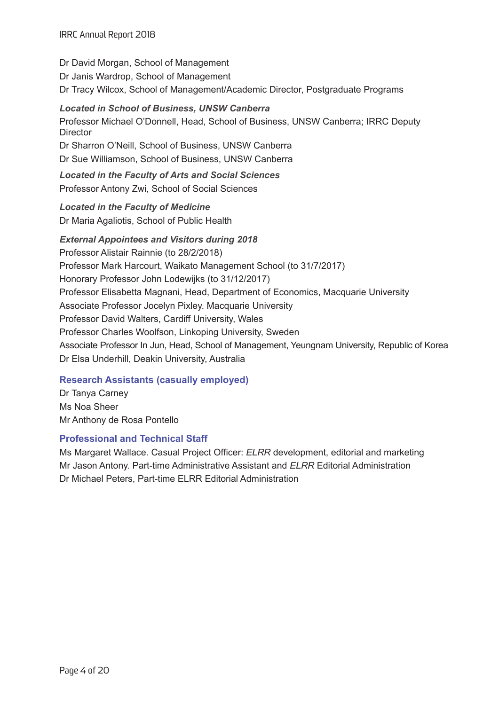Dr David Morgan, School of Management Dr Janis Wardrop, School of Management Dr Tracy Wilcox, School of Management/Academic Director, Postgraduate Programs

*Located in School of Business, UNSW Canberra* Professor Michael O'Donnell, Head, School of Business, UNSW Canberra; IRRC Deputy **Director** Dr Sharron O'Neill, School of Business, UNSW Canberra Dr Sue Williamson, School of Business, UNSW Canberra *Located in the Faculty of Arts and Social Sciences* Professor Antony Zwi, School of Social Sciences *Located in the Faculty of Medicine* Dr Maria Agaliotis, School of Public Health *External Appointees and Visitors during 2018* Professor Alistair Rainnie (to 28/2/2018) Professor Mark Harcourt, Waikato Management School (to 31/7/2017) Honorary Professor John Lodewijks (to 31/12/2017) Professor Elisabetta Magnani, Head, Department of Economics, Macquarie University

Associate Professor Jocelyn Pixley. Macquarie University

Professor David Walters, Cardiff University, Wales

Professor Charles Woolfson, Linkoping University, Sweden

Associate Professor In Jun, Head, School of Management, Yeungnam University, Republic of Korea Dr Elsa Underhill, Deakin University, Australia

## **Research Assistants (casually employed)**

Dr Tanya Carney Ms Noa Sheer Mr Anthony de Rosa Pontello

## **Professional and Technical Staff**

Ms Margaret Wallace. Casual Project Officer: *ELRR* development, editorial and marketing Mr Jason Antony. Part-time Administrative Assistant and *ELRR* Editorial Administration Dr Michael Peters, Part-time ELRR Editorial Administration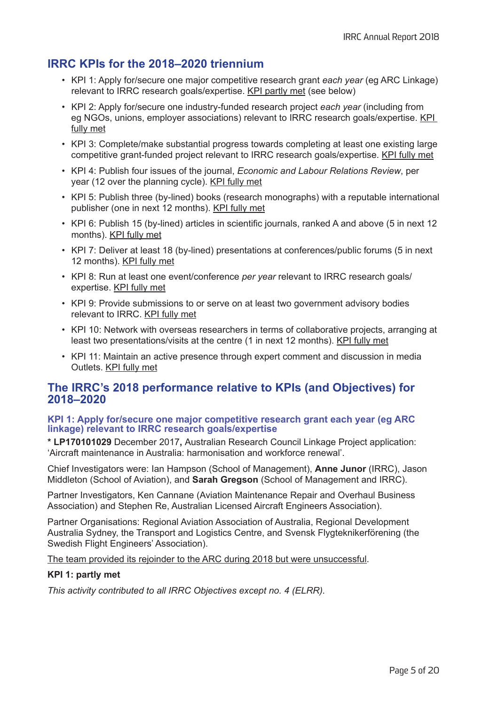# **IRRC KPIs for the 2018–2020 triennium**

- KPI 1: Apply for/secure one major competitive research grant *each year* (eg ARC Linkage) relevant to IRRC research goals/expertise. KPI partly met (see below)
- KPI 2: Apply for/secure one industry-funded research project *each year* (including from eg NGOs, unions, employer associations) relevant to IRRC research goals/expertise. KPI fully met
- KPI 3: Complete/make substantial progress towards completing at least one existing large competitive grant-funded project relevant to IRRC research goals/expertise. KPI fully met
- KPI 4: Publish four issues of the journal, *Economic and Labour Relations Review*, per year (12 over the planning cycle). KPI fully met
- KPI 5: Publish three (by-lined) books (research monographs) with a reputable international publisher (one in next 12 months). KPI fully met
- KPI 6: Publish 15 (by-lined) articles in scientific journals, ranked A and above (5 in next 12 months). KPI fully met
- KPI 7: Deliver at least 18 (by-lined) presentations at conferences/public forums (5 in next 12 months). KPI fully met
- KPI 8: Run at least one event/conference *per year* relevant to IRRC research goals/ expertise. KPI fully met
- KPI 9: Provide submissions to or serve on at least two government advisory bodies relevant to IRRC. KPI fully met
- KPI 10: Network with overseas researchers in terms of collaborative projects, arranging at least two presentations/visits at the centre (1 in next 12 months). KPI fully met
- KPI 11: Maintain an active presence through expert comment and discussion in media Outlets. KPI fully met

## **The IRRC's 2018 performance relative to KPIs (and Objectives) for 2018–2020**

## **KPI 1: Apply for/secure one major competitive research grant each year (eg ARC linkage) relevant to IRRC research goals/expertise**

**\* LP170101029** December 2017**,** Australian Research Council Linkage Project application: 'Aircraft maintenance in Australia: harmonisation and workforce renewal'.

Chief Investigators were: Ian Hampson (School of Management), **Anne Junor** (IRRC), Jason Middleton (School of Aviation), and **Sarah Gregson** (School of Management and IRRC).

Partner Investigators, Ken Cannane (Aviation Maintenance Repair and Overhaul Business Association) and Stephen Re, Australian Licensed Aircraft Engineers Association).

Partner Organisations: Regional Aviation Association of Australia, Regional Development Australia Sydney, the Transport and Logistics Centre, and Svensk Flygteknikerförening (the Swedish Flight Engineers' Association).

The team provided its rejoinder to the ARC during 2018 but were unsuccessful.

## **KPI 1: partly met**

*This activity contributed to all IRRC Objectives except no. 4 (ELRR).*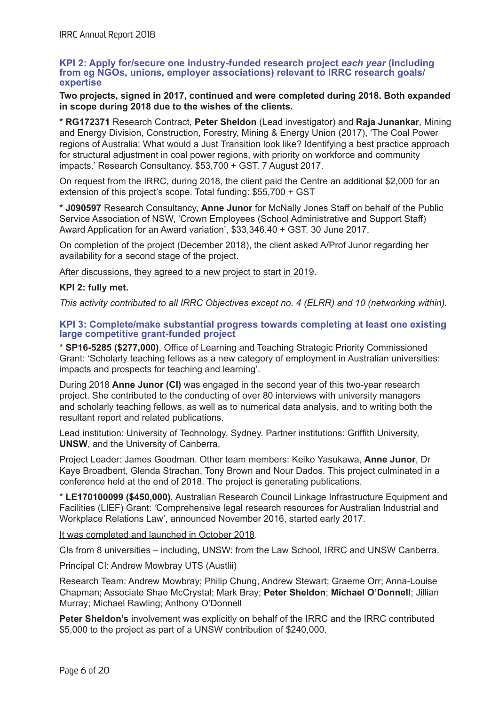#### **KPI 2: Apply for/secure one industry-funded research project** *each year* **(including from eg NGOs, unions, employer associations) relevant to IRRC research goals/ expertise**

## **Two projects, signed in 2017, continued and were completed during 2018. Both expanded in scope during 2018 due to the wishes of the clients.**

**\* RG172371** Research Contract, **Peter Sheldon** (Lead investigator) and **Raja Junankar**, Mining and Energy Division, Construction, Forestry, Mining & Energy Union (2017), 'The Coal Power regions of Australia: What would a Just Transition look like? Identifying a best practice approach for structural adjustment in coal power regions, with priority on workforce and community impacts.' Research Consultancy. \$53,700 + GST. 7 August 2017.

On request from the IRRC, during 2018, the client paid the Centre an additional \$2,000 for an extension of this project's scope. Total funding: \$55,700 + GST

**\* J090597** Research Consultancy, **Anne Junor** for McNally Jones Staff on behalf of the Public Service Association of NSW, 'Crown Employees (School Administrative and Support Staff) Award Application for an Award variation', \$33,346.40 + GST. 30 June 2017.

On completion of the project (December 2018), the client asked A/Prof Junor regarding her availability for a second stage of the project.

After discussions, they agreed to a new project to start in 2019.

## **KPI 2: fully met.**

*This activity contributed to all IRRC Objectives except no. 4 (ELRR) and 10 (networking within).*

## **KPI 3: Complete/make substantial progress towards completing at least one existing large competitive grant-funded project**

\* **SP16-5285 (\$277,000)**, Office of Learning and Teaching Strategic Priority Commissioned Grant: 'Scholarly teaching fellows as a new category of employment in Australian universities: impacts and prospects for teaching and learning'.

During 2018 **Anne Junor (CI)** was engaged in the second year of this two-year research project. She contributed to the conducting of over 80 interviews with university managers and scholarly teaching fellows, as well as to numerical data analysis, and to writing both the resultant report and related publications.

Lead institution: University of Technology, Sydney. Partner institutions: Griffith University, **UNSW**, and the University of Canberra.

Project Leader: James Goodman. Other team members: Keiko Yasukawa, **Anne Junor**, Dr Kaye Broadbent, Glenda Strachan, Tony Brown and Nour Dados. This project culminated in a conference held at the end of 2018. The project is generating publications.

\* **LE170100099 (\$450,000)**, Australian Research Council Linkage Infrastructure Equipment and Facilities (LIEF) Grant: *'*Comprehensive legal research resources for Australian Industrial and Workplace Relations Law', announced November 2016, started early 2017.

It was completed and launched in October 2018.

CIs from 8 universities – including, UNSW: from the Law School, IRRC and UNSW Canberra.

Principal CI: Andrew Mowbray UTS (Austlii)

Research Team: Andrew Mowbray; Philip Chung, Andrew Stewart; Graeme Orr; Anna-Louise Chapman; Associate Shae McCrystal; Mark Bray; **Peter Sheldon**; **Michael O'Donnell**; Jillian Murray; Michael Rawling; Anthony O'Donnell

**Peter Sheldon's** involvement was explicitly on behalf of the IRRC and the IRRC contributed \$5,000 to the project as part of a UNSW contribution of \$240,000.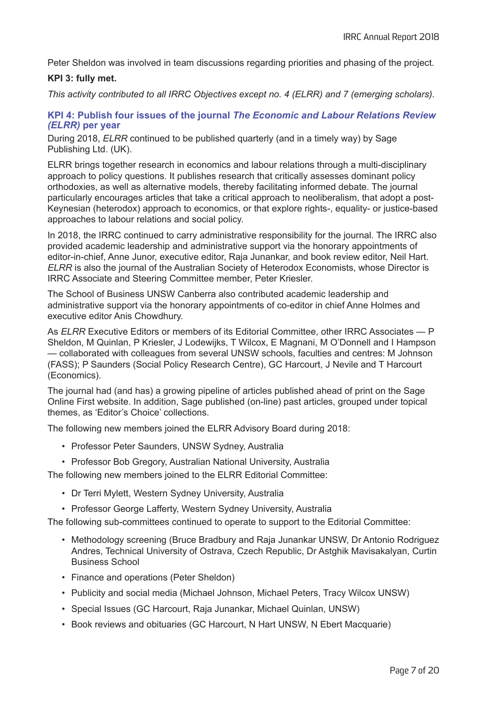Peter Sheldon was involved in team discussions regarding priorities and phasing of the project.

## **KPI 3: fully met.**

*This activity contributed to all IRRC Objectives except no. 4 (ELRR) and 7 (emerging scholars).*

## **KPI 4: Publish four issues of the journal** *The Economic and Labour Relations Review (ELRR)* **per year**

During 2018, *ELRR* continued to be published quarterly (and in a timely way) by Sage Publishing Ltd. (UK).

ELRR brings together research in economics and labour relations through a multi-disciplinary approach to policy questions. It publishes research that critically assesses dominant policy orthodoxies, as well as alternative models, thereby facilitating informed debate. The journal particularly encourages articles that take a critical approach to neoliberalism, that adopt a post-Keynesian (heterodox) approach to economics, or that explore rights-, equality- or justice-based approaches to labour relations and social policy.

In 2018, the IRRC continued to carry administrative responsibility for the journal. The IRRC also provided academic leadership and administrative support via the honorary appointments of editor-in-chief, Anne Junor, executive editor, Raja Junankar, and book review editor, Neil Hart. *ELRR* is also the journal of the Australian Society of Heterodox Economists, whose Director is IRRC Associate and Steering Committee member, Peter Kriesler.

The School of Business UNSW Canberra also contributed academic leadership and administrative support via the honorary appointments of co-editor in chief Anne Holmes and executive editor Anis Chowdhury.

As *ELRR* Executive Editors or members of its Editorial Committee, other IRRC Associates — P Sheldon, M Quinlan, P Kriesler, J Lodewijks, T Wilcox, E Magnani, M O'Donnell and I Hampson — collaborated with colleagues from several UNSW schools, faculties and centres: M Johnson (FASS); P Saunders (Social Policy Research Centre), GC Harcourt, J Nevile and T Harcourt (Economics).

The journal had (and has) a growing pipeline of articles published ahead of print on the Sage Online First website. In addition, Sage published (on-line) past articles, grouped under topical themes, as 'Editor's Choice' collections.

The following new members joined the ELRR Advisory Board during 2018:

- Professor Peter Saunders, UNSW Sydney, Australia
- Professor Bob Gregory, Australian National University, Australia

The following new members joined to the ELRR Editorial Committee:

- Dr Terri Mylett, Western Sydney University, Australia
- Professor George Lafferty, Western Sydney University, Australia

The following sub-committees continued to operate to support to the Editorial Committee:

- Methodology screening (Bruce Bradbury and Raja Junankar UNSW, Dr Antonio Rodriguez Andres, Technical University of Ostrava, Czech Republic, Dr Astghik Mavisakalyan, Curtin Business School
- Finance and operations (Peter Sheldon)
- Publicity and social media (Michael Johnson, Michael Peters, Tracy Wilcox UNSW)
- Special Issues (GC Harcourt, Raja Junankar, Michael Quinlan, UNSW)
- Book reviews and obituaries (GC Harcourt, N Hart UNSW, N Ebert Macquarie)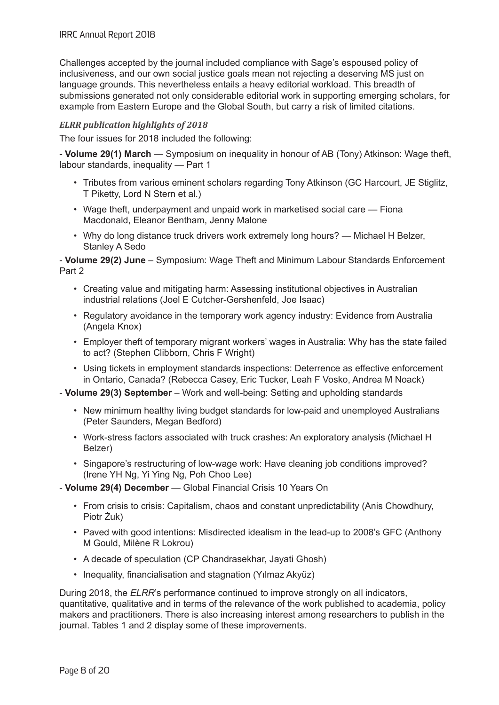Challenges accepted by the journal included compliance with Sage's espoused policy of inclusiveness, and our own social justice goals mean not rejecting a deserving MS just on language grounds. This nevertheless entails a heavy editorial workload. This breadth of submissions generated not only considerable editorial work in supporting emerging scholars, for example from Eastern Europe and the Global South, but carry a risk of limited citations.

## *ELRR publication highlights of 2018*

The four issues for 2018 included the following:

- **Volume 29(1) March** — Symposium on inequality in honour of AB (Tony) Atkinson: Wage theft, labour standards, inequality — Part 1

- Tributes from various eminent scholars regarding Tony Atkinson (GC Harcourt, JE Stiglitz, T Piketty, Lord N Stern et al.)
- Wage theft, underpayment and unpaid work in marketised social care Fiona Macdonald, Eleanor Bentham, Jenny Malone
- Why do long distance truck drivers work extremely long hours? Michael H Belzer, Stanley A Sedo

- **Volume 29(2) June** – Symposium: Wage Theft and Minimum Labour Standards Enforcement Part 2

- Creating value and mitigating harm: Assessing institutional objectives in Australian industrial relations (Joel E Cutcher-Gershenfeld, Joe Isaac)
- Regulatory avoidance in the temporary work agency industry: Evidence from Australia (Angela Knox)
- Employer theft of temporary migrant workers' wages in Australia: Why has the state failed to act? (Stephen Clibborn, Chris F Wright)
- Using tickets in employment standards inspections: Deterrence as effective enforcement in Ontario, Canada? (Rebecca Casey, Eric Tucker, Leah F Vosko, Andrea M Noack)

- **Volume 29(3) September** – Work and well-being: Setting and upholding standards

- New minimum healthy living budget standards for low-paid and unemployed Australians (Peter Saunders, Megan Bedford)
- Work-stress factors associated with truck crashes: An exploratory analysis (Michael H Belzer)
- Singapore's restructuring of low-wage work: Have cleaning job conditions improved? (Irene YH Ng, Yi Ying Ng, Poh Choo Lee)
- **Volume 29(4) December** Global Financial Crisis 10 Years On
	- From crisis to crisis: Capitalism, chaos and constant unpredictability (Anis Chowdhury, Piotr Żuk)
	- Paved with good intentions: Misdirected idealism in the lead-up to 2008's GFC (Anthony M Gould, Milène R Lokrou)
	- A decade of speculation (CP Chandrasekhar, Jayati Ghosh)
	- Inequality, financialisation and stagnation (Yılmaz Akyüz)

During 2018, the *ELRR*'s performance continued to improve strongly on all indicators, quantitative, qualitative and in terms of the relevance of the work published to academia, policy makers and practitioners. There is also increasing interest among researchers to publish in the journal. Tables 1 and 2 display some of these improvements.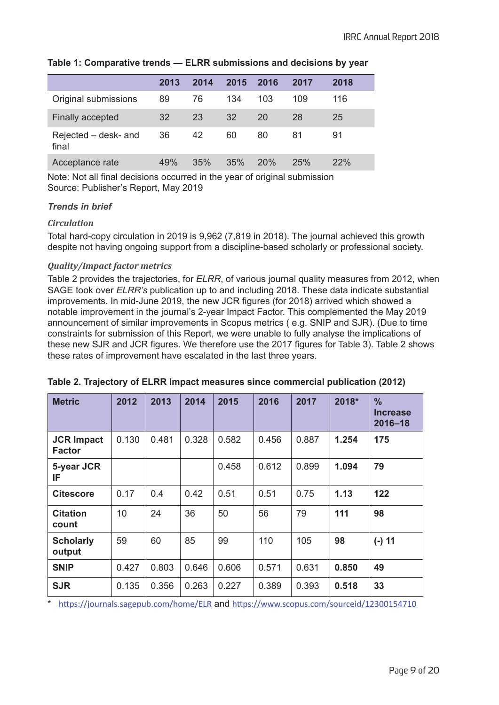|  |  |  |  |  | Table 1: Comparative trends — ELRR submissions and decisions by year |  |  |  |  |
|--|--|--|--|--|----------------------------------------------------------------------|--|--|--|--|
|--|--|--|--|--|----------------------------------------------------------------------|--|--|--|--|

|                               | 2013 | 2014 | 2015 | 2016 | 2017 | 2018 |
|-------------------------------|------|------|------|------|------|------|
| Original submissions          | 89   | 76   | 134  | 103  | 109  | 116  |
| Finally accepted              | 32   | 23   | 32   | 20   | 28   | 25   |
| Rejected – desk- and<br>final | 36   | 42   | 60   | 80   | 81   | 91   |
| Acceptance rate               | 49%  | 35%  | 35%  | 20%  | 25%  | 22%  |

Note: Not all final decisions occurred in the year of original submission Source: Publisher's Report, May 2019

## *Trends in brief*

## *Circulation*

Total hard-copy circulation in 2019 is 9,962 (7,819 in 2018). The journal achieved this growth despite not having ongoing support from a discipline-based scholarly or professional society.

## *Quality/Impact factor metrics*

Table 2 provides the trajectories, for *ELRR*, of various journal quality measures from 2012, when SAGE took over *ELRR's* publication up to and including 2018. These data indicate substantial improvements. In mid-June 2019, the new JCR figures (for 2018) arrived which showed a notable improvement in the journal's 2-year Impact Factor. This complemented the May 2019 announcement of similar improvements in Scopus metrics ( e.g. SNIP and SJR). (Due to time constraints for submission of this Report, we were unable to fully analyse the implications of these new SJR and JCR figures. We therefore use the 2017 figures for Table 3). Table 2 shows these rates of improvement have escalated in the last three years.

| <b>Metric</b>                      | 2012  | 2013  | 2014  | 2015  | 2016  | 2017  | 2018* | $\frac{9}{6}$<br><b>Increase</b><br>$2016 - 18$ |
|------------------------------------|-------|-------|-------|-------|-------|-------|-------|-------------------------------------------------|
| <b>JCR Impact</b><br><b>Factor</b> | 0.130 | 0.481 | 0.328 | 0.582 | 0.456 | 0.887 | 1.254 | 175                                             |
| 5-year JCR<br>IF                   |       |       |       | 0.458 | 0.612 | 0.899 | 1.094 | 79                                              |
| <b>Citescore</b>                   | 0.17  | 0.4   | 0.42  | 0.51  | 0.51  | 0.75  | 1.13  | 122                                             |
| <b>Citation</b><br>count           | 10    | 24    | 36    | 50    | 56    | 79    | 111   | 98                                              |
| <b>Scholarly</b><br>output         | 59    | 60    | 85    | 99    | 110   | 105   | 98    | $(-) 11$                                        |
| <b>SNIP</b>                        | 0.427 | 0.803 | 0.646 | 0.606 | 0.571 | 0.631 | 0.850 | 49                                              |
| <b>SJR</b>                         | 0.135 | 0.356 | 0.263 | 0.227 | 0.389 | 0.393 | 0.518 | 33                                              |

## **Table 2. Trajectory of ELRR Impact measures since commercial publication (2012)**

https://journals.sagepub.com/home/ELR and https://www.scopus.com/sourceid/12300154710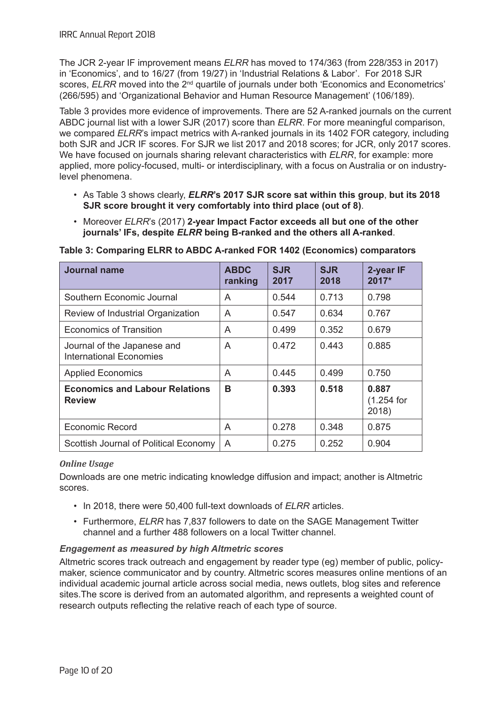The JCR 2-year IF improvement means *ELRR* has moved to 174/363 (from 228/353 in 2017) in 'Economics', and to 16/27 (from 19/27) in 'Industrial Relations & Labor'. For 2018 SJR scores, *ELRR* moved into the 2<sup>nd</sup> quartile of journals under both 'Economics and Econometrics' (266/595) and 'Organizational Behavior and Human Resource Management' (106/189).

Table 3 provides more evidence of improvements. There are 52 A-ranked journals on the current ABDC journal list with a lower SJR (2017) score than *ELRR*. For more meaningful comparison, we compared *ELRR*'s impact metrics with A-ranked journals in its 1402 FOR category, including both SJR and JCR IF scores. For SJR we list 2017 and 2018 scores; for JCR, only 2017 scores. We have focused on journals sharing relevant characteristics with *ELRR*, for example: more applied, more policy-focused, multi- or interdisciplinary, with a focus on Australia or on industrylevel phenomena.

- As Table 3 shows clearly, *ELRR***'s 2017 SJR score sat within this group**, **but its 2018 SJR score brought it very comfortably into third place (out of 8)**.
- Moreover *ELRR*'s (2017) **2-year Impact Factor exceeds all but one of the other journals' IFs, despite** *ELRR* **being B-ranked and the others all A-ranked**.

| Journal name                                                  | <b>ABDC</b><br>ranking | <b>SJR</b><br>2017 | <b>SJR</b><br>2018 | 2-year IF<br>$2017*$            |
|---------------------------------------------------------------|------------------------|--------------------|--------------------|---------------------------------|
| Southern Economic Journal                                     | A                      | 0.544              | 0.713              | 0.798                           |
| Review of Industrial Organization                             | A                      | 0.547              | 0.634              | 0.767                           |
| Economics of Transition                                       | A                      | 0.499              | 0.352              | 0.679                           |
| Journal of the Japanese and<br><b>International Economies</b> | A                      | 0.472              | 0.443              | 0.885                           |
| <b>Applied Economics</b>                                      | A                      | 0.445              | 0.499              | 0.750                           |
| <b>Economics and Labour Relations</b><br><b>Review</b>        | B                      | 0.393              | 0.518              | 0.887<br>$(1.254)$ for<br>2018) |
| <b>Economic Record</b>                                        | A                      | 0.278              | 0.348              | 0.875                           |
| Scottish Journal of Political Economy                         | A                      | 0.275              | 0.252              | 0.904                           |

**Table 3: Comparing ELRR to ABDC A-ranked FOR 1402 (Economics) comparators** 

## *Online Usage*

Downloads are one metric indicating knowledge diffusion and impact; another is Altmetric scores.

- In 2018, there were 50,400 full-text downloads of *ELRR* articles.
- Furthermore, *ELRR* has 7,837 followers to date on the SAGE Management Twitter channel and a further 488 followers on a local Twitter channel.

## *Engagement as measured by high Altmetric scores*

Altmetric scores track outreach and engagement by reader type (eg) member of public, policymaker, science communicator and by country. Altmetric scores measures online mentions of an individual academic journal article across social media, news outlets, blog sites and reference sites.The score is derived from an automated algorithm, and represents a weighted count of research outputs reflecting the relative reach of each type of source.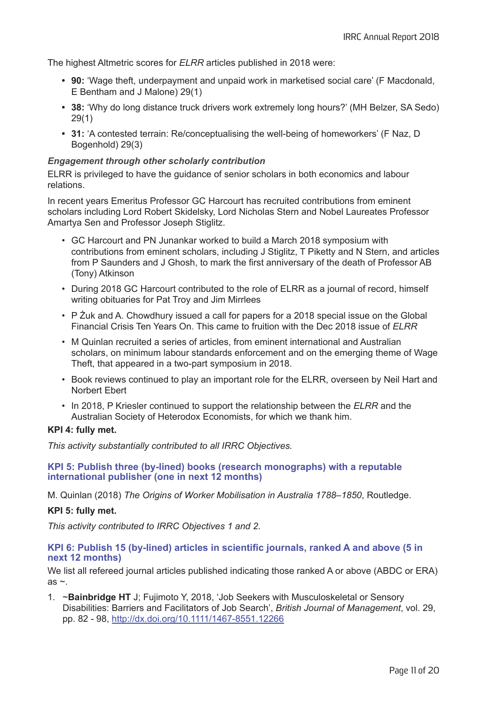The highest Altmetric scores for *ELRR* articles published in 2018 were:

- **• 90:** 'Wage theft, underpayment and unpaid work in marketised social care' (F Macdonald, E Bentham and J Malone) 29(1)
- **• 38:** 'Why do long distance truck drivers work extremely long hours?' (MH Belzer, SA Sedo) 29(1)
- **• 31:** 'A contested terrain: Re/conceptualising the well-being of homeworkers' (F Naz, D Bogenhold) 29(3)

## *Engagement through other scholarly contribution*

ELRR is privileged to have the guidance of senior scholars in both economics and labour relations.

In recent years Emeritus Professor GC Harcourt has recruited contributions from eminent scholars including Lord Robert Skidelsky, Lord Nicholas Stern and Nobel Laureates Professor Amartya Sen and Professor Joseph Stiglitz.

- GC Harcourt and PN Junankar worked to build a March 2018 symposium with contributions from eminent scholars, including J Stiglitz, T Piketty and N Stern, and articles from P Saunders and J Ghosh, to mark the first anniversary of the death of Professor AB (Tony) Atkinson
- During 2018 GC Harcourt contributed to the role of ELRR as a journal of record, himself writing obituaries for Pat Troy and Jim Mirrlees
- P Żuk and A. Chowdhury issued a call for papers for a 2018 special issue on the Global Financial Crisis Ten Years On. This came to fruition with the Dec 2018 issue of *ELRR*
- M Quinlan recruited a series of articles, from eminent international and Australian scholars, on minimum labour standards enforcement and on the emerging theme of Wage Theft, that appeared in a two-part symposium in 2018.
- Book reviews continued to play an important role for the ELRR, overseen by Neil Hart and Norbert Ebert
- In 2018, P Kriesler continued to support the relationship between the *ELRR* and the Australian Society of Heterodox Economists, for which we thank him.

#### **KPI 4: fully met.**

*This activity substantially contributed to all IRRC Objectives.*

**KPI 5: Publish three (by-lined) books (research monographs) with a reputable international publisher (one in next 12 months)**

M. Quinlan (2018) *The Origins of Worker Mobilisation in Australia 1788–1850*, Routledge.

#### **KPI 5: fully met.**

*This activity contributed to IRRC Objectives 1 and 2*.

#### **KPI 6: Publish 15 (by-lined) articles in scientific journals, ranked A and above (5 in next 12 months)**

We list all refereed journal articles published indicating those ranked A or above (ABDC or ERA) as  $\sim$ .

1. ~**Bainbridge HT** J; Fujimoto Y, 2018, 'Job Seekers with Musculoskeletal or Sensory Disabilities: Barriers and Facilitators of Job Search', *British Journal of Management*, vol. 29, pp. 82 - 98, http://dx.doi.org/10.1111/1467-8551.12266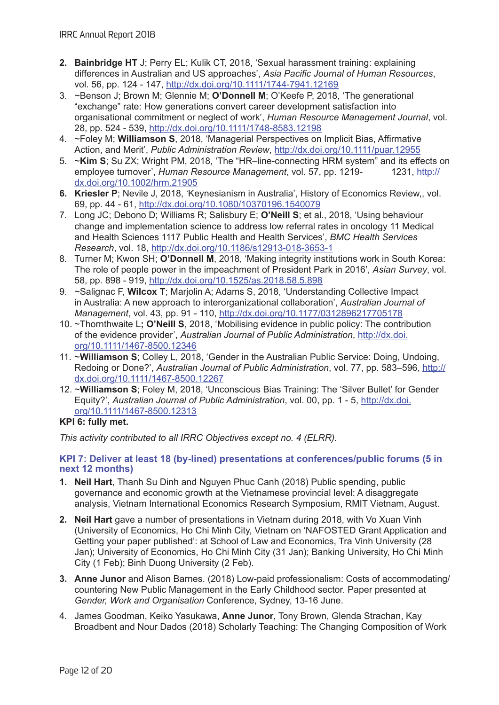- **2. Bainbridge HT** J; Perry EL; Kulik CT, 2018, 'Sexual harassment training: explaining differences in Australian and US approaches', *Asia Pacific Journal of Human Resources*, vol. 56, pp. 124 - 147, http://dx.doi.org/10.1111/1744-7941.12169
- 3. ~Benson J; Brown M; Glennie M; **O'Donnell M**; O'Keefe P, 2018, 'The generational "exchange" rate: How generations convert career development satisfaction into organisational commitment or neglect of work', *Human Resource Management Journal*, vol. 28, pp. 524 - 539, http://dx.doi.org/10.1111/1748-8583.12198
- 4. ~Foley M; **Williamson S**, 2018, 'Managerial Perspectives on Implicit Bias, Affirmative Action, and Merit', *Public Administration Review*, http://dx.doi.org/10.1111/puar.12955
- 5. ~**Kim S**; Su ZX; Wright PM, 2018, 'The "HR–line-connecting HRM system" and its effects on employee turnover', *Human Resource Management*, vol. 57, pp. 1219- 1231, http:// dx.doi.org/10.1002/hrm.21905
- **6. Kriesler P**; Nevile J, 2018, 'Keynesianism in Australia', History of Economics Review,, vol. 69, pp. 44 - 61, http://dx.doi.org/10.1080/10370196.1540079
- 7. Long JC; Debono D; Williams R; Salisbury E; **O'Neill S**; et al., 2018, 'Using behaviour change and implementation science to address low referral rates in oncology 11 Medical and Health Sciences 1117 Public Health and Health Services', *BMC Health Services Research*, vol. 18, http://dx.doi.org/10.1186/s12913-018-3653-1
- 8. Turner M; Kwon SH; **O'Donnell M**, 2018, 'Making integrity institutions work in South Korea: The role of people power in the impeachment of President Park in 2016', *Asian Survey*, vol. 58, pp. 898 - 919, http://dx.doi.org/10.1525/as.2018.58.5.898
- 9. ~Salignac F, **Wilcox T**; Marjolin A; Adams S, 2018, 'Understanding Collective Impact in Australia: A new approach to interorganizational collaboration', *Australian Journal of Management*, vol. 43, pp. 91 - 110, http://dx.doi.org/10.1177/0312896217705178
- 10. ~Thornthwaite L**; O'Neill S**, 2018, 'Mobilising evidence in public policy: The contribution of the evidence provider', *Australian Journal of Public Administration*, http://dx.doi. org/10.1111/1467-8500.12346
- 11. ~**Williamson S**; Colley L, 2018, 'Gender in the Australian Public Service: Doing, Undoing, Redoing or Done?', *Australian Journal of Public Administration*, vol. 77, pp. 583–596, http:// dx.doi.org/10.1111/1467-8500.12267
- 12. ~**Williamson S**; Foley M, 2018, 'Unconscious Bias Training: The 'Silver Bullet' for Gender Equity?', *Australian Journal of Public Administration*, vol. 00, pp. 1 - 5, http://dx.doi. org/10.1111/1467-8500.12313

## **KPI 6: fully met.**

*This activity contributed to all IRRC Objectives except no. 4 (ELRR).*

## **KPI 7: Deliver at least 18 (by-lined) presentations at conferences/public forums (5 in next 12 months)**

- **1. Neil Hart**, Thanh Su Dinh and Nguyen Phuc Canh (2018) Public spending, public governance and economic growth at the Vietnamese provincial level: A disaggregate analysis, Vietnam International Economics Research Symposium, RMIT Vietnam, August.
- **2. Neil Hart** gave a number of presentations in Vietnam during 2018, with Vo Xuan Vinh (University of Economics, Ho Chi Minh City, Vietnam on 'NAFOSTED Grant Application and Getting your paper published': at School of Law and Economics, Tra Vinh University (28 Jan); University of Economics, Ho Chi Minh City (31 Jan); Banking University, Ho Chi Minh City (1 Feb); Binh Duong University (2 Feb).
- **3. Anne Junor** and Alison Barnes. (2018) Low-paid professionalism: Costs of accommodating/ countering New Public Management in the Early Childhood sector. Paper presented at *Gender, Work and Organisation* Conference, Sydney, 13-16 June.
- 4. James Goodman, Keiko Yasukawa, **Anne Junor**, Tony Brown, Glenda Strachan, Kay Broadbent and Nour Dados (2018) Scholarly Teaching: The Changing Composition of Work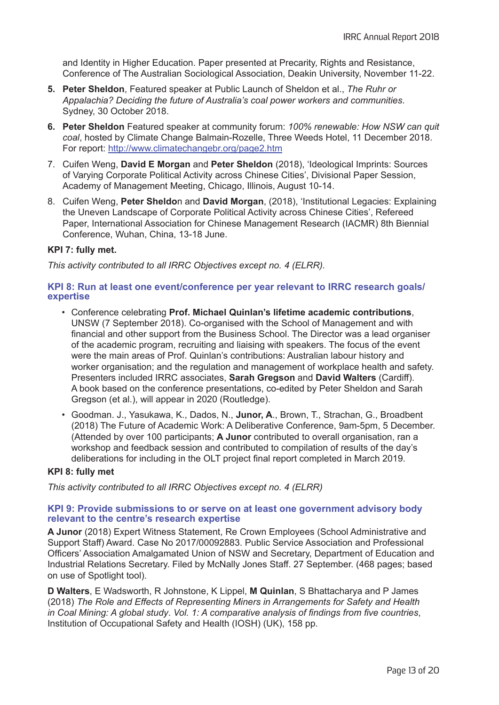and Identity in Higher Education. Paper presented at Precarity, Rights and Resistance, Conference of The Australian Sociological Association, Deakin University, November 11-22.

- **5. Peter Sheldon**, Featured speaker at Public Launch of Sheldon et al., *The Ruhr or Appalachia? Deciding the future of Australia's coal power workers and communities*. Sydney, 30 October 2018.
- **6. Peter Sheldon** Featured speaker at community forum: *100% renewable: How NSW can quit coal*, hosted by Climate Change Balmain-Rozelle, Three Weeds Hotel, 11 December 2018. For report: http://www.climatechangebr.org/page2.htm
- 7. Cuifen Weng, **David E Morgan** and **Peter Sheldon** (2018), 'Ideological Imprints: Sources of Varying Corporate Political Activity across Chinese Cities', Divisional Paper Session, Academy of Management Meeting, Chicago, Illinois, August 10-14.
- 8. Cuifen Weng, **Peter Sheldo**n and **David Morgan**, (2018), 'Institutional Legacies: Explaining the Uneven Landscape of Corporate Political Activity across Chinese Cities', Refereed Paper, International Association for Chinese Management Research (IACMR) 8th Biennial Conference, Wuhan, China, 13-18 June.

## **KPI 7: fully met.**

*This activity contributed to all IRRC Objectives except no. 4 (ELRR).*

## **KPI 8: Run at least one event/conference per year relevant to IRRC research goals/ expertise**

- Conference celebrating **Prof. Michael Quinlan's lifetime academic contributions**, UNSW (7 September 2018). Co-organised with the School of Management and with financial and other support from the Business School. The Director was a lead organiser of the academic program, recruiting and liaising with speakers. The focus of the event were the main areas of Prof. Quinlan's contributions: Australian labour history and worker organisation; and the regulation and management of workplace health and safety. Presenters included IRRC associates, **Sarah Gregson** and **David Walters** (Cardiff). A book based on the conference presentations, co-edited by Peter Sheldon and Sarah Gregson (et al.), will appear in 2020 (Routledge).
- Goodman. J., Yasukawa, K., Dados, N., **Junor, A**., Brown, T., Strachan, G., Broadbent (2018) The Future of Academic Work: A Deliberative Conference, 9am-5pm, 5 December. (Attended by over 100 participants; **A Junor** contributed to overall organisation, ran a workshop and feedback session and contributed to compilation of results of the day's deliberations for including in the OLT project final report completed in March 2019.

## **KPI 8: fully met**

*This activity contributed to all IRRC Objectives except no. 4 (ELRR)*

## **KPI 9: Provide submissions to or serve on at least one government advisory body relevant to the centre's research expertise**

**A Junor** (2018) Expert Witness Statement, Re Crown Employees (School Administrative and Support Staff) Award. Case No 2017/00092883. Public Service Association and Professional Officers' Association Amalgamated Union of NSW and Secretary, Department of Education and Industrial Relations Secretary. Filed by McNally Jones Staff. 27 September. (468 pages; based on use of Spotlight tool).

**D Walters**, E Wadsworth, R Johnstone, K Lippel, **M Quinlan**, S Bhattacharya and P James (2018) *The Role and Effects of Representing Miners in Arrangements for Safety and Health in Coal Mining: A global study*. *Vol. 1: A comparative analysis of findings from five countries*, Institution of Occupational Safety and Health (IOSH) (UK), 158 pp.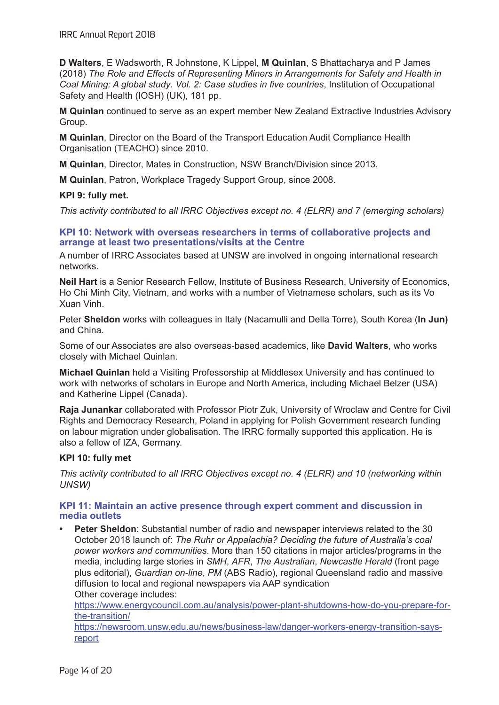**D Walters**, E Wadsworth, R Johnstone, K Lippel, **M Quinlan**, S Bhattacharya and P James (2018) *The Role and Effects of Representing Miners in Arrangements for Safety and Health in Coal Mining: A global study*. *Vol. 2: Case studies in five countries*, Institution of Occupational Safety and Health (IOSH) (UK), 181 pp.

**M Quinlan** continued to serve as an expert member New Zealand Extractive Industries Advisory Group.

**M Quinlan**, Director on the Board of the Transport Education Audit Compliance Health Organisation (TEACHO) since 2010.

**M Quinlan**, Director, Mates in Construction, NSW Branch/Division since 2013.

**M Quinlan**, Patron, Workplace Tragedy Support Group, since 2008.

## **KPI 9: fully met.**

*This activity contributed to all IRRC Objectives except no. 4 (ELRR) and 7 (emerging scholars)*

#### **KPI 10: Network with overseas researchers in terms of collaborative projects and arrange at least two presentations/visits at the Centre**

A number of IRRC Associates based at UNSW are involved in ongoing international research networks.

**Neil Hart** is a Senior Research Fellow, Institute of Business Research, University of Economics, Ho Chi Minh City, Vietnam, and works with a number of Vietnamese scholars, such as its Vo Xuan Vinh.

Peter **Sheldon** works with colleagues in Italy (Nacamulli and Della Torre), South Korea (**In Jun)**  and China.

Some of our Associates are also overseas-based academics, like **David Walters**, who works closely with Michael Quinlan.

**Michael Quinlan** held a Visiting Professorship at Middlesex University and has continued to work with networks of scholars in Europe and North America, including Michael Belzer (USA) and Katherine Lippel (Canada).

**Raja Junankar** collaborated with Professor Piotr Zuk, University of Wroclaw and Centre for Civil Rights and Democracy Research, Poland in applying for Polish Government research funding on labour migration under globalisation. The IRRC formally supported this application. He is also a fellow of IZA, Germany.

## **KPI 10: fully met**

*This activity contributed to all IRRC Objectives except no. 4 (ELRR) and 10 (networking within UNSW)*

## **KPI 11: Maintain an active presence through expert comment and discussion in media outlets**

**Peter Sheldon**: Substantial number of radio and newspaper interviews related to the 30 October 2018 launch of: *The Ruhr or Appalachia? Deciding the future of Australia's coal power workers and communities*. More than 150 citations in major articles/programs in the media, including large stories in *SMH*, *AFR*, *The Australian*, *Newcastle Herald* (front page plus editorial), *Guardian on-line*, *PM* (ABS Radio), regional Queensland radio and massive diffusion to local and regional newspapers via AAP syndication Other coverage includes:

https://www.energycouncil.com.au/analysis/power-plant-shutdowns-how-do-you-prepare-forthe-transition/

https://newsroom.unsw.edu.au/news/business-law/danger-workers-energy-transition-saysreport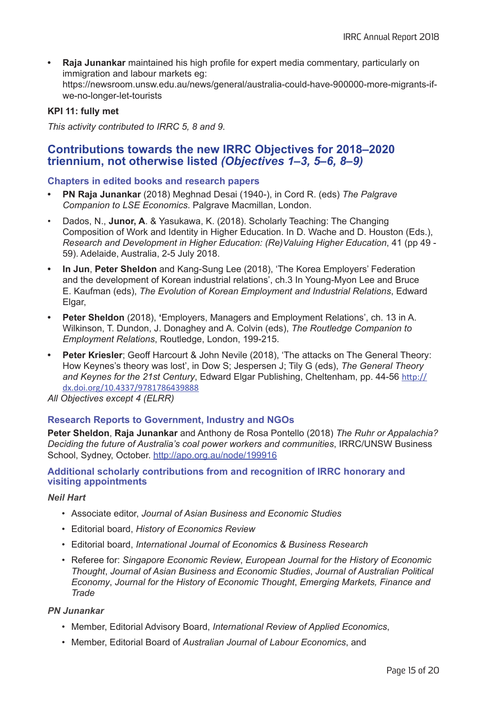**• Raja Junankar** maintained his high profile for expert media commentary, particularly on immigration and labour markets eg: https://newsroom.unsw.edu.au/news/general/australia-could-have-900000-more-migrants-ifwe-no-longer-let-tourists

## **KPI 11: fully met**

*This activity contributed to IRRC 5, 8 and 9.*

## **Contributions towards the new IRRC Objectives for 2018–2020 triennium, not otherwise listed** *(Objectives 1–3, 5–6, 8–9)*

## **Chapters in edited books and research papers**

- **• PN Raja Junankar** (2018) Meghnad Desai (1940-), in Cord R. (eds) *The Palgrave Companion to LSE Economics*. Palgrave Macmillan, London.
- Dados, N., **Junor, A**. & Yasukawa, K. (2018). Scholarly Teaching: The Changing Composition of Work and Identity in Higher Education. In D. Wache and D. Houston (Eds.), *Research and Development in Higher Education: (Re)Valuing Higher Education*, 41 (pp 49 - 59). Adelaide, Australia, 2-5 July 2018.
- **In Jun, Peter Sheldon** and Kang-Sung Lee (2018), 'The Korea Employers' Federation and the development of Korean industrial relations', ch.3 In Young-Myon Lee and Bruce E. Kaufman (eds), *The Evolution of Korean Employment and Industrial Relations*, Edward Elgar,
- **Peter Sheldon** (2018), 'Employers, Managers and Employment Relations', ch. 13 in A. Wilkinson, T. Dundon, J. Donaghey and A. Colvin (eds), *The Routledge Companion to Employment Relations*, Routledge, London, 199-215.
- **Peter Kriesler**; Geoff Harcourt & John Nevile (2018), 'The attacks on The General Theory: How Keynes's theory was lost', in Dow S; Jespersen J; Tily G (eds), *The General Theory and Keynes for the 21st Century*, Edward Elgar Publishing, Cheltenham, pp. 44-56 http:// dx.doi.org/10.4337/9781786439888

*All Objectives except 4 (ELRR)*

## **Research Reports to Government, Industry and NGOs**

**Peter Sheldon**, **Raja Junankar** and Anthony de Rosa Pontello (2018) *The Ruhr or Appalachia? Deciding the future of Australia's coal power workers and communities*, IRRC/UNSW Business School, Sydney, October. http://apo.org.au/node/199916

## **Additional scholarly contributions from and recognition of IRRC honorary and visiting appointments**

#### *Neil Hart*

- Associate editor, *Journal of Asian Business and Economic Studies*
- Editorial board, *History of Economics Review*
- Editorial board, *International Journal of Economics & Business Research*
- Referee for: *Singapore Economic Review*, *European Journal for the History of Economic Thought*, *Journal of Asian Business and Economic Studies*, *Journal of Australian Political Economy*, *Journal for the History of Economic Thought*, *Emerging Markets, Finance and Trade*

## *PN Junankar*

- Member, Editorial Advisory Board, *International Review of Applied Economics*,
- Member, Editorial Board of *Australian Journal of Labour Economics*, and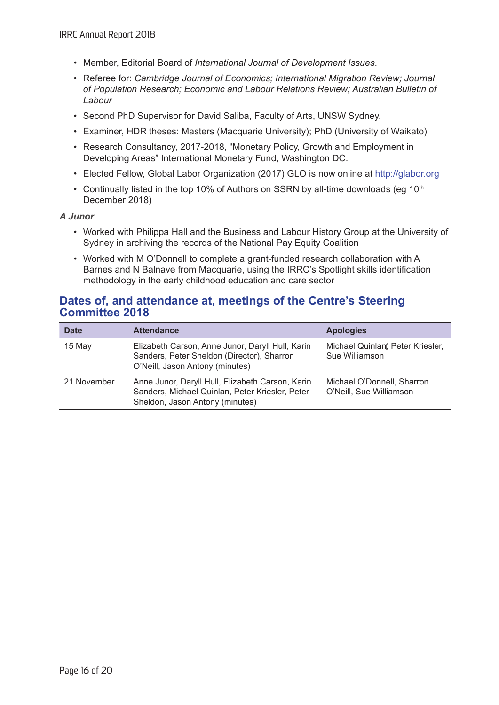- Member, Editorial Board of *International Journal of Development Issues*.
- Referee for: *Cambridge Journal of Economics; International Migration Review; Journal of Population Research; Economic and Labour Relations Review; Australian Bulletin of Labour*
- Second PhD Supervisor for David Saliba, Faculty of Arts, UNSW Sydney.
- Examiner, HDR theses: Masters (Macquarie University); PhD (University of Waikato)
- Research Consultancy, 2017-2018, "Monetary Policy, Growth and Employment in Developing Areas" International Monetary Fund, Washington DC.
- Elected Fellow, Global Labor Organization (2017) GLO is now online at http://glabor.org
- Continually listed in the top 10% of Authors on SSRN by all-time downloads (eg  $10<sup>th</sup>$ December 2018)

*A Junor*

- Worked with Philippa Hall and the Business and Labour History Group at the University of Sydney in archiving the records of the National Pay Equity Coalition
- Worked with M O'Donnell to complete a grant-funded research collaboration with A Barnes and N Balnave from Macquarie, using the IRRC's Spotlight skills identification methodology in the early childhood education and care sector

## **Dates of, and attendance at, meetings of the Centre's Steering Committee 2018**

| <b>Date</b> | <b>Attendance</b>                                                                                                                      | <b>Apologies</b>                                      |
|-------------|----------------------------------------------------------------------------------------------------------------------------------------|-------------------------------------------------------|
| 15 May      | Elizabeth Carson, Anne Junor, Daryll Hull, Karin<br>Sanders, Peter Sheldon (Director), Sharron<br>O'Neill, Jason Antony (minutes)      | Michael Quinlan, Peter Kriesler,<br>Sue Williamson    |
| 21 November | Anne Junor, Daryll Hull, Elizabeth Carson, Karin<br>Sanders, Michael Quinlan, Peter Kriesler, Peter<br>Sheldon, Jason Antony (minutes) | Michael O'Donnell, Sharron<br>O'Neill, Sue Williamson |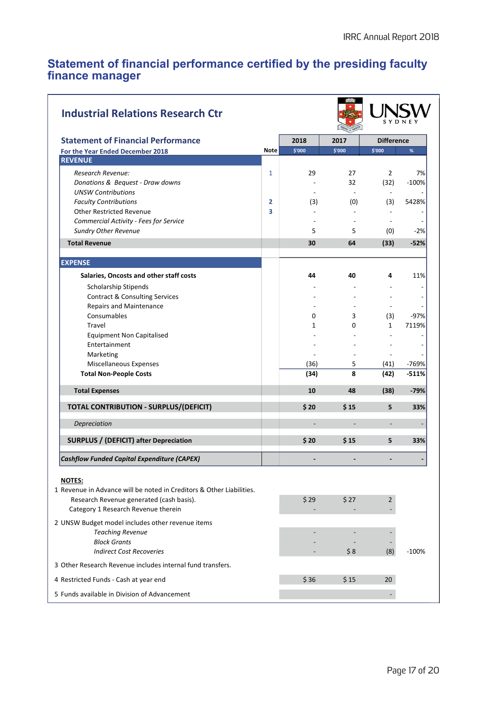## **Statement of financial performance certified by the presiding faculty finance manager**

| <b>Industrial Relations Research Ctr</b>                                        |                |                |                          |                          |         |
|---------------------------------------------------------------------------------|----------------|----------------|--------------------------|--------------------------|---------|
| <b>Statement of Financial Performance</b>                                       |                | 2018           | 2017                     | <b>Difference</b>        |         |
| For the Year Ended December 2018                                                | <b>Note</b>    | \$'000         | \$'000                   | \$'000                   | %       |
| <b>REVENUE</b>                                                                  |                |                |                          |                          |         |
| Research Revenue:                                                               | 1              | 29             | 27                       | $\overline{2}$           | 7%      |
| Donations & Bequest - Draw downs                                                |                |                | 32                       | (32)                     | $-100%$ |
| <b>UNSW Contributions</b>                                                       |                |                |                          | $\sim$                   |         |
| <b>Faculty Contributions</b>                                                    | $\overline{2}$ | (3)            | (0)                      | (3)                      | 5428%   |
| <b>Other Restricted Revenue</b>                                                 | 3              |                |                          |                          |         |
| <b>Commercial Activity - Fees for Service</b>                                   |                |                |                          |                          |         |
| <b>Sundry Other Revenue</b>                                                     |                | 5              | 5                        | (0)                      | $-2%$   |
| <b>Total Revenue</b>                                                            |                | 30             | 64                       | (33)                     | $-52%$  |
| <b>EXPENSE</b>                                                                  |                |                |                          |                          |         |
| Salaries, Oncosts and other staff costs                                         |                | 44             | 40                       | 4                        | 11%     |
| Scholarship Stipends                                                            |                |                |                          |                          |         |
| <b>Contract &amp; Consulting Services</b>                                       |                |                |                          |                          |         |
| <b>Repairs and Maintenance</b>                                                  |                |                |                          |                          |         |
| Consumables                                                                     |                | 0              | 3                        | (3)                      | $-97%$  |
| Travel                                                                          |                | $\mathbf{1}$   | 0                        | $\mathbf{1}$             | 7119%   |
| <b>Equipment Non Capitalised</b>                                                |                |                |                          |                          |         |
| Entertainment                                                                   |                |                |                          |                          |         |
| Marketing                                                                       |                | $\blacksquare$ | $\overline{\phantom{a}}$ | $\overline{\phantom{a}}$ |         |
| Miscellaneous Expenses                                                          |                | (36)           | 5                        | (41)                     | -769%   |
| <b>Total Non-People Costs</b>                                                   |                | (34)           | 8                        | (42)                     | $-511%$ |
| <b>Total Expenses</b>                                                           |                | 10             | 48                       | (38)                     | $-79%$  |
| <b>TOTAL CONTRIBUTION - SURPLUS/(DEFICIT)</b>                                   |                | \$20           | \$15                     | 5                        | 33%     |
| Depreciation                                                                    |                |                |                          | $\overline{\phantom{a}}$ |         |
| <b>SURPLUS / (DEFICIT) after Depreciation</b>                                   |                | \$20           | \$15                     | 5                        | 33%     |
| <b>Cashflow Funded Capital Expenditure (CAPEX)</b>                              |                |                |                          |                          |         |
| NOTES:                                                                          |                |                |                          |                          |         |
| 1 Revenue in Advance will be noted in Creditors & Other Liabilities.            |                |                |                          |                          |         |
| Research Revenue generated (cash basis).<br>Category 1 Research Revenue therein |                | \$29           | \$27                     | $\overline{2}$           |         |
| 2 UNSW Budget model includes other revenue items                                |                |                |                          |                          |         |
| <b>Teaching Revenue</b>                                                         |                |                |                          |                          |         |
| <b>Block Grants</b>                                                             |                |                |                          |                          |         |
| <b>Indirect Cost Recoveries</b>                                                 |                |                | \$8                      | (8)                      | $-100%$ |
| 3 Other Research Revenue includes internal fund transfers.                      |                |                |                          |                          |         |
| 4 Restricted Funds - Cash at year end                                           |                | \$36           | \$15                     | 20                       |         |
| 5 Funds available in Division of Advancement                                    |                |                |                          | $\overline{\phantom{a}}$ |         |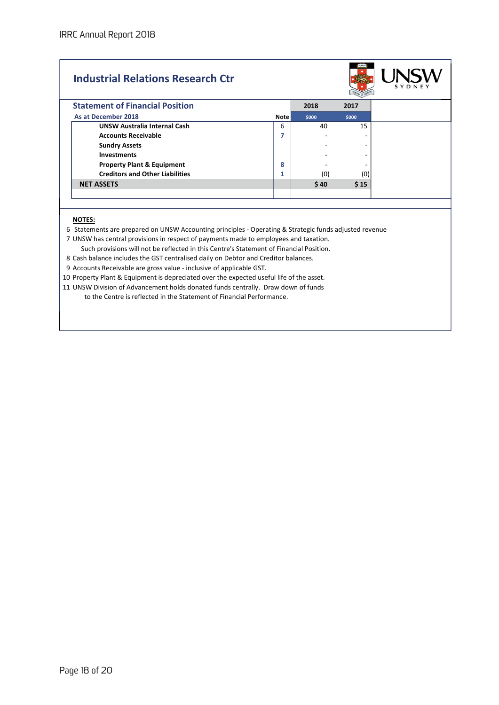# Industrial Relations Research Ctr



| <b>Statement of Financial Position</b> |             | 2018  | 2017  |
|----------------------------------------|-------------|-------|-------|
| As at December 2018                    | <b>Note</b> | \$000 | \$000 |
| <b>UNSW Australia Internal Cash</b>    | 6           | 40    | 15    |
| <b>Accounts Receivable</b>             | ۰,          |       | -     |
| <b>Sundry Assets</b>                   |             |       | ۰     |
| <b>Investments</b>                     |             |       | -     |
| <b>Property Plant &amp; Equipment</b>  | 8           |       | -     |
| <b>Creditors and Other Liabilities</b> | ٠<br>ш      | (0)   | (0)   |
| <b>NET ASSETS</b>                      |             | \$40  | \$15  |
|                                        |             |       |       |

#### NOTES:

6 Statements are prepared on UNSW Accounting principles - Operating & Strategic funds adjusted revenue

7 UNSW has central provisions in respect of payments made to employees and taxation.

Such provisions will not be reflected in this Centre's Statement of Financial Position.

8 Cash balance includes the GST centralised daily on Debtor and Creditor balances.

9 Accounts Receivable are gross value - inclusive of applicable GST.

10 Property Plant & Equipment is depreciated over the expected useful life of the asset.

11 UNSW Division of Advancement holds donated funds centrally. Draw down of funds to the Centre is reflected in the Statement of Financial Performance.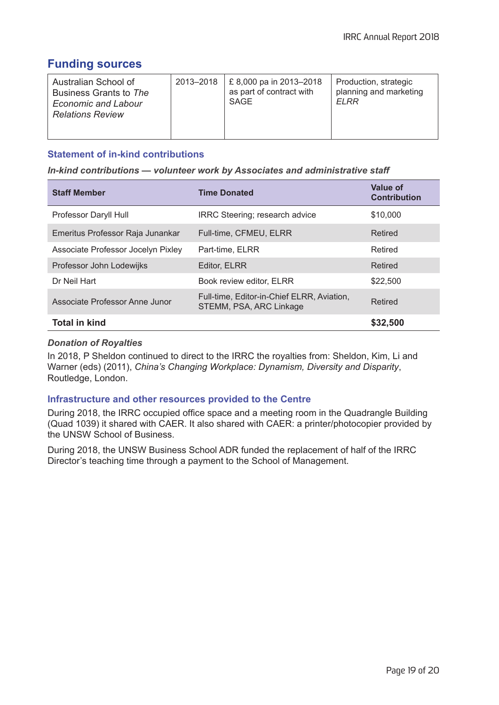# **Funding sources**

| Australian School of<br>Business Grants to The<br><b>Economic and Labour</b><br><b>Relations Review</b> | 2013-2018 | £8,000 pa in 2013-2018<br>as part of contract with<br>SAGE | Production, strategic<br>planning and marketing<br>ELRR |
|---------------------------------------------------------------------------------------------------------|-----------|------------------------------------------------------------|---------------------------------------------------------|
|                                                                                                         |           |                                                            |                                                         |

## **Statement of in-kind contributions**

*In-kind contributions — volunteer work by Associates and administrative staff*

| <b>Staff Member</b>                | <b>Time Donated</b>                                                   | Value of<br><b>Contribution</b> |
|------------------------------------|-----------------------------------------------------------------------|---------------------------------|
| Professor Daryll Hull              | IRRC Steering; research advice                                        | \$10,000                        |
| Emeritus Professor Raja Junankar   | Full-time, CFMEU, ELRR                                                | Retired                         |
| Associate Professor Jocelyn Pixley | Part-time, ELRR                                                       | Retired                         |
| Professor John Lodewijks           | Editor, ELRR                                                          | Retired                         |
| Dr Neil Hart                       | Book review editor, ELRR                                              | \$22,500                        |
| Associate Professor Anne Junor     | Full-time, Editor-in-Chief ELRR, Aviation,<br>STEMM, PSA, ARC Linkage | Retired                         |
| <b>Total in kind</b>               |                                                                       | \$32,500                        |

## *Donation of Royalties*

In 2018, P Sheldon continued to direct to the IRRC the royalties from: Sheldon, Kim, Li and Warner (eds) (2011), *China's Changing Workplace: Dynamism, Diversity and Disparity*, Routledge, London.

## **Infrastructure and other resources provided to the Centre**

During 2018, the IRRC occupied office space and a meeting room in the Quadrangle Building (Quad 1039) it shared with CAER. It also shared with CAER: a printer/photocopier provided by the UNSW School of Business.

During 2018, the UNSW Business School ADR funded the replacement of half of the IRRC Director's teaching time through a payment to the School of Management.